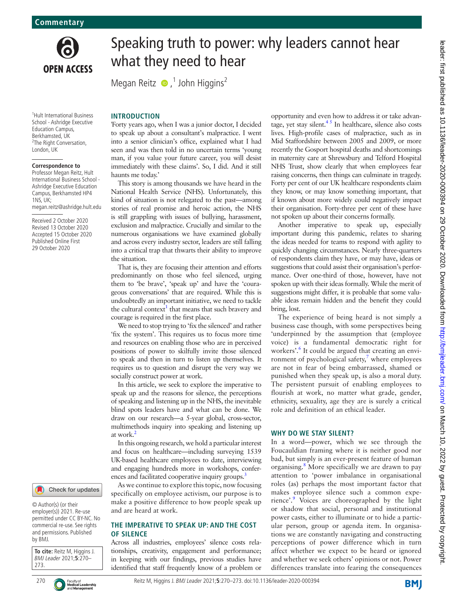

# Speaking truth to power: why leaders cannot hear what they need to hear

Megan Reitz  $\bullet$ , John Higgins<sup>2</sup>

1 Hult International Business School - Ashridge Executive Education Campus, Berkhamsted, UK <sup>2</sup>The Right Conversation, London, UK

#### **Correspondence to**

Professor Megan Reitz, Hult International Business School - Ashridge Executive Education Campus, Berkhamsted HP4  $1N<sub>S</sub>$   $11K<sub>2</sub>$ megan.reitz@ashridge.hult.edu

Received 2 October 2020 Revised 13 October 2020 Accepted 15 October 2020 Published Online First 29 October 2020

## Check for updates

© Author(s) (or their employer(s)) 2021. Re-use permitted under CC BY-NC. No commercial re-use. See rights and permissions. Published by BMJ.

**To cite:** Reitz M, Higgins J. BMJ Leader 2021;**5**:270– 273.



270 **C**Faculty of Faculty of Reitz M, Higgins J. BMJ Leader 2021;5:270-273. doi:10.1136/leader-2020-000394

# **INTRODUCTION**

'Forty years ago, when I was a junior doctor, I decided to speak up about a consultant's malpractice. I went into a senior clinician's office, explained what I had seen and was then told in no uncertain terms 'young man, if you value your future career, you will desist immediately with these claims'. So, I did. And it still haunts me today.'

This story is among thousands we have heard in the National Health Service (NHS). Unfortunately, this kind of situation is not relegated to the past—among stories of real promise and heroic action, the NHS is still grappling with issues of bullying, harassment, exclusion and malpractice. Crucially and similar to the numerous organisations we have examined globally and across every industry sector, leaders are still falling into a critical trap that thwarts their ability to improve the situation.

That is, they are focusing their attention and efforts predominantly on those who feel silenced, urging them to 'be brave', 'speak up' and have the 'courageous conversations' that are required. While this is undoubtedly an important initiative, we need to tackle the cultural context<sup>1</sup> that means that such bravery and courage is required in the first place.

We need to stop trying to 'fix the silenced' and rather 'fix the system'. This requires us to focus more time and resources on enabling those who are in perceived positions of power to skilfully invite those silenced to speak and then in turn to listen up themselves. It requires us to question and disrupt the very way we socially construct power at work.

In this article, we seek to explore the imperative to speak up and the reasons for silence, the perceptions of speaking and listening up in the NHS, the inevitable blind spots leaders have and what can be done. We draw on our research—a 5-year global, cross-sector, multimethods inquiry into speaking and listening up at work[.2](#page-3-1)

In this ongoing research, we hold a particular interest and focus on healthcare—including surveying 1539 UK-based healthcare employees to date, interviewing and engaging hundreds more in workshops, confer-ences and facilitated cooperative inquiry groups.<sup>[3](#page-3-2)</sup>

As we continue to explore this topic, now focusing specifically on employee activism, our purpose is to make a positive difference to how people speak up and are heard at work.

#### **THE IMPERATIVE TO SPEAK UP: AND THE COST OF SILENCE**

Across all industries, employees' silence costs relationships, creativity, engagement and performance; in keeping with our findings, previous studies have identified that staff frequently know of a problem or opportunity and even how to address it or take advantage, yet stay silent. $4<sup>5</sup>$  In healthcare, silence also costs lives. High-profile cases of malpractice, such as in Mid Staffordshire between 2005 and 2009, or more recently the Gosport hospital deaths and shortcomings in maternity care at Shrewsbury and Telford Hospital NHS Trust, show clearly that when employees fear raising concerns, then things can culminate in tragedy. Forty per cent of our UK healthcare respondents claim they know, or may know something important, that if known about more widely could negatively impact their organisation. Forty-three per cent of these have not spoken up about their concerns formally.

Another imperative to speak up, especially important during this pandemic, relates to sharing the ideas needed for teams to respond with agility to quickly changing circumstances. Nearly three-quarters of respondents claim they have, or may have, ideas or suggestions that could assist their organisation's performance. Over one-third of those, however, have not spoken up with their ideas formally. While the merit of suggestions might differ, it is probable that some valuable ideas remain hidden and the benefit they could bring, lost.

The experience of being heard is not simply a business case though, with some perspectives being 'underpinned by the assumption that (employee voice) is a fundamental democratic right for workers'.<sup>[6](#page-3-4)</sup> It could be argued that creating an environment of psychological safety, $\frac{7}{3}$  $\frac{7}{3}$  $\frac{7}{3}$  where employees are not in fear of being embarrassed, shamed or punished when they speak up, is also a moral duty. The persistent pursuit of enabling employees to flourish at work, no matter what grade, gender, ethnicity, sexuality, age they are is surely a critical role and definition of an ethical leader.

#### **WHY DO WE STAY SILENT?**

In a word—power, which we see through the Foucauldian framing where it is neither good nor bad, but simply is an ever-present feature of human organising.<sup>[8](#page-3-6)</sup> More specifically we are drawn to pay attention to 'power imbalance in organisational roles (as) perhaps the most important factor that makes employee silence such a common experience'.<sup>9</sup> Voices are choreographed by the light or shadow that social, personal and institutional power casts, either to illuminate or to hide a particular person, group or agenda item. In organisations we are constantly navigating and constructing perceptions of power difference which in turn affect whether we expect to be heard or ignored and whether we seek others' opinions or not. Power differences translate into fearing the consequences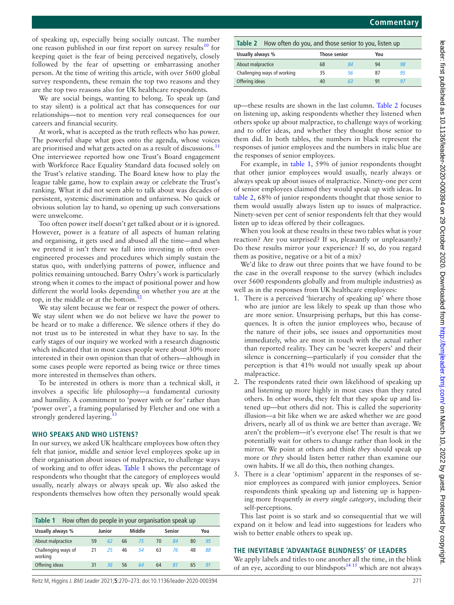of speaking up, especially being socially outcast. The number one reason published in our first report on survey results<sup>10</sup> for keeping quiet is the fear of being perceived negatively, closely followed by the fear of upsetting or embarrassing another person. At the time of writing this article, with over 5600 global survey respondents, these remain the top two reasons and they are the top two reasons also for UK healthcare respondents.

We are social beings, wanting to belong. To speak up (and to stay silent) is a political act that has consequences for our relationships—not to mention very real consequences for our careers and financial security.

At work, what is accepted as the truth reflects who has power. The powerful shape what goes onto the agenda, whose voices are prioritised and what gets acted on as a result of discussions.<sup>[11](#page-3-9)</sup> One interviewee reported how one Trust's Board engagement with Workforce Race Equality Standard data focused solely on the Trust's relative standing. The Board knew how to play the league table game, how to explain away or celebrate the Trust's ranking. What it did not seem able to talk about was decades of persistent, systemic discrimination and unfairness. No quick or obvious solution lay to hand, so opening up such conversations were unwelcome.

Too often power itself doesn't get talked about or it is ignored. However, power is a feature of all aspects of human relating and organising, it gets used and abused all the time—and when we pretend it isn't there we fall into investing in often overengineered processes and procedures which simply sustain the status quo, with underlying patterns of power, influence and politics remaining untouched. Barry Oshry's work is particularly strong when it comes to the impact of positional power and how different the world looks depending on whether you are at the top, in the middle or at the bottom. $^{12}$  $^{12}$  $^{12}$ 

We stay silent because we fear or respect the power of others. We stay silent when we do not believe we have the power to be heard or to make a difference. We silence others if they do not trust us to be interested in what they have to say. In the early stages of our inquiry we worked with a research diagnostic which indicated that in most cases people were about 30% more interested in their own opinion than that of others—although in some cases people were reported as being twice or three times more interested in themselves than others.

To be interested in others is more than a technical skill, it involves a specific life philosophy—a fundamental curiosity and humility. A commitment to 'power with or for*'* rather than 'power over*'*, a framing popularised by Fletcher and one with a strongly gendered layering.<sup>1</sup>

# **WHO SPEAKS AND WHO LISTENS?**

In our survey, we asked UK healthcare employees how often they felt that junior, middle and senior level employees spoke up in their organisation about issues of malpractice, to challenge ways of working and to offer ideas. [Table](#page-1-0) 1 shows the percentage of respondents who thought that the category of employees would usually, nearly always or always speak up. We also asked the respondents themselves how often they personally would speak

<span id="page-1-0"></span>

| How often do people in your organisation speak up<br>Table 1 |    |        |    |        |    |        |    |     |  |
|--------------------------------------------------------------|----|--------|----|--------|----|--------|----|-----|--|
| Usually always %                                             |    | Junior |    | Middle |    | Senior |    | You |  |
| About malpractice                                            | 59 | 62     | 66 | 75     | 70 | 84     | 80 | 95  |  |
| Challenging ways of<br>working                               | 21 | 25     | 46 | 54     | 63 | 76     | 48 | 88  |  |
| Offering ideas                                               | 31 | 36     | 56 | 64     | 64 | 81     | 65 | 91  |  |

<span id="page-1-1"></span>**Table 2** How often do you, and those senior to you, listen up **Usually always % Those senior You** About malpractice 68 *84* 94 *98* Challenging ways of working 35 *56* 87 *95* Offering ideas 40 *63* 91 *97*

**Commentary**

up—these results are shown in the last column. [Table](#page-1-1) 2 focuses on listening up, asking respondents whether they listened when others spoke up about malpractice, to challenge ways of working and to offer ideas, and whether they thought those senior to them did. In both tables, the numbers in black represent the responses of junior employees and the numbers in italic blue are the responses of senior employees.

For example, in [table](#page-1-0) 1, 59% of junior respondents thought that other junior employees would usually, nearly always or always speak up about issues of malpractice. Ninety-one per cent of senior employees claimed they would speak up with ideas. In [table](#page-1-1) 2, 68% of junior respondents thought that those senior to them would usually always listen up to issues of malpractice. Ninety-seven per cent of senior respondents felt that they would listen up to ideas offered by their colleagues.

When you look at these results in these two tables what is your reaction? Are you surprised? If so, pleasantly or unpleasantly? Do these results mirror your experience? If so, do you regard them as positive, negative or a bit of a mix?

We'd like to draw out three points that we have found to be the case in the overall response to the survey (which includes over 5600 respondents globally and from multiple industries) as well as in the responses from UK healthcare employees:

- 1. There is a perceived 'hierarchy of speaking up' where those who are junior are less likely to speak up than those who are more senior. Unsurprising perhaps, but this has consequences. It is often the junior employees who, because of the nature of their jobs, see issues and opportunities most immediately, who are most in touch with the actual rather than reported reality. They can be 'secret keepers' and their silence is concerning—particularly if you consider that the perception is that 41% would not usually speak up about malpractice.
- 2. The respondents rated their own likelihood of speaking up and listening up more highly in most cases than they rated others. In other words, they felt that they spoke up and listened up—but others did not. This is called the superiority illusion—a bit like when we are asked whether we are good drivers, nearly all of us think we are better than average. We aren't the problem—it's everyone else! The result is that we potentially wait for others to change rather than look in the mirror. We point at others and think *they* should speak up more or *they* should listen better rather than examine our own habits. If we all do this, then nothing changes.
- 3. There is a clear 'optimism' apparent in the responses of senior employees as compared with junior employees. Senior respondents think speaking up and listening up is happening more frequently *in every single category*, including their self-perceptions.

This last point is so stark and so consequential that we will expand on it below and lead into suggestions for leaders who wish to better enable others to speak up.

## **THE INEVITABLE 'ADVANTAGE BLINDNESS' OF LEADERS**

We apply labels and titles to one another all the time, in the blink of an eye, according to our blindspots<sup>14 15</sup> which are not always

Reitz M, Higgins J. BMJ Leader 2021;**5**:270–273. doi:10.1136/leader-2020-000394 271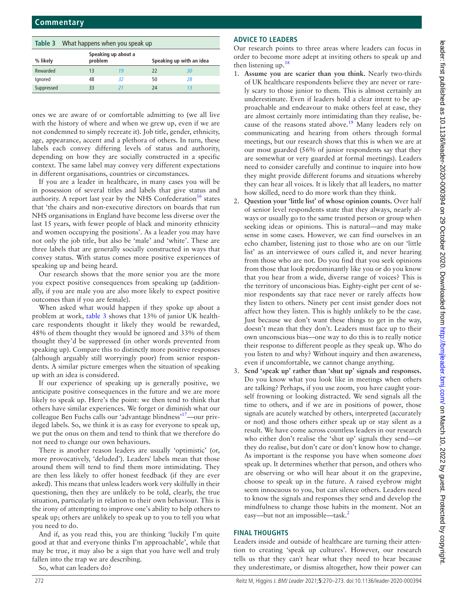<span id="page-2-0"></span>

|            | <b>Table 3</b> What happens when you speak up |                                |    |                          |  |  |  |  |
|------------|-----------------------------------------------|--------------------------------|----|--------------------------|--|--|--|--|
| % likely   |                                               | Speaking up about a<br>problem |    | Speaking up with an idea |  |  |  |  |
| Rewarded   | 13                                            | 19                             | 22 | 30                       |  |  |  |  |
| lgnored    | 48                                            | 32                             | 50 | 28                       |  |  |  |  |
| Suppressed | 33                                            | 21                             | 24 |                          |  |  |  |  |

ones we are aware of or comfortable admitting to (we all live with the history of where and when we grew up, even if we are not condemned to simply recreate it). Job title, gender, ethnicity, age, appearance, accent and a plethora of others. In turn, these labels each convey differing levels of status and authority, depending on how they are socially constructed in a specific context. The same label may convey very different expectations in different organisations, countries or circumstances.

If you are a leader in healthcare, in many cases you will be in possession of several titles and labels that give status and authority. A report last year by the NHS Confederation<sup>16</sup> states that 'the chairs and non-executive directors on boards that run NHS organisations in England have become less diverse over the last 15 years, with fewer people of black and minority ethnicity and women occupying the positions'. As a leader you may have not only the job title, but also be 'male' and 'white'. These are three labels that are generally socially constructed in ways that convey status. With status comes more positive experiences of speaking up and being heard.

Our research shows that the more senior you are the more you expect positive consequences from speaking up (additionally, if you are male you are also more likely to expect positive outcomes than if you are female).

When asked what would happen if they spoke up about a problem at work, [table](#page-2-0) 3 shows that 13% of junior UK healthcare respondents thought it likely they would be rewarded, 48% of them thought they would be ignored and 33% of them thought they'd be suppressed (in other words prevented from speaking up). Compare this to distinctly more positive responses (although arguably still worryingly poor) from senior respondents. A similar picture emerges when the situation of speaking up with an idea is considered.

If our experience of speaking up is generally positive, we anticipate positive consequences in the future and we are more likely to speak up. Here's the point: we then tend to think that others have similar experiences. We forget or diminish what our colleague Ben Fuchs calls our 'advantage blindness'[17](#page-3-14)—our privileged labels. So, we think it is as easy for everyone to speak up, we put the onus on them and tend to think that we therefore do not need to change our own behaviours.

There is another reason leaders are usually 'optimistic' (or, more provocatively, 'deluded'). Leaders' labels mean that those around them will tend to find them more intimidating. They are then less likely to offer honest feedback (if they are ever asked). This means that unless leaders work very skilfully in their questioning, then they are unlikely to be told, clearly, the true situation, particularly in relation to their own behaviour. This is the irony of attempting to improve one's ability to help others to speak up; others are unlikely to speak up to you to tell you what you need to do.

And if, as you read this, you are thinking 'luckily I'm quite good at that and everyone thinks I'm approachable', while that may be true, it may also be a sign that you have well and truly fallen into the trap we are describing.

So, what can leaders do?

# **ADVICE TO LEADERS**

Our research points to three areas where leaders can focus in order to become more adept at inviting others to speak up and then listening up. $18$ 

- 1. **Assume you are scarier than you think.** Nearly two-thirds of UK healthcare respondents believe they are never or rarely scary to those junior to them. This is almost certainly an underestimate. Even if leaders hold a clear intent to be approachable and endeavour to make others feel at ease, they are almost certainly more intimidating than they realise, because of the reasons stated above.<sup>19</sup> Many leaders rely on communicating and hearing from others through formal meetings, but our research shows that this is when we are at our most guarded (56% of junior respondents say that they are somewhat or very guarded at formal meetings). Leaders need to consider carefully and continue to inquire into how they might provide different forums and situations whereby they can hear all voices. It is likely that all leaders, no matter how skilled, need to do more work than they think.
- 2. **Question your 'little list' of whose opinion counts.** Over half of senior level respondents state that they always, nearly always or usually go to the same trusted person or group when seeking ideas or opinions. This is natural—and may make sense in some cases. However, we can find ourselves in an echo chamber, listening just to those who are on our 'little list' as an interviewee of ours called it, and never hearing from those who are not. Do you find that you seek opinions from those that look predominantly like you or do you know that you hear from a wide, diverse range of voices? This is the territory of unconscious bias. Eighty-eight per cent of senior respondents say that race never or rarely affects how they listen to others. Ninety per cent insist gender does not affect how they listen. This is highly unlikely to be the case. Just because we don't want these things to get in the way, doesn't mean that they don't. Leaders must face up to their own unconscious bias—one way to do this is to really notice their response to different people as they speak up. Who do you listen to and why? Without inquiry and then awareness, even if uncomfortable, we cannot change anything.
- 3. **Send 'speak up' rather than 'shut up' signals and responses.** Do you know what you look like in meetings when others are talking? Perhaps, if you use zoom, you have caught yourself frowning or looking distracted. We send signals all the time to others, and if we are in positions of power, those signals are acutely watched by others, interpreted (accurately or not) and those others either speak up or stay silent as a result. We have come across countless leaders in our research who either don't realise the 'shut up' signals they send—or they do realise, but don't care or don't know how to change. As important is the response you have when someone *does* speak up. It determines whether that person, and others who are observing or who will hear about it on the grapevine, choose to speak up in the future. A raised eyebrow might seem innocuous to you, but can silence others. Leaders need to know the signals and responses they send and develop the mindfulness to change those habits in the moment. Not an easy—but not an impossible—task.<sup>2</sup>

## **FINAL THOUGHTS**

Leaders inside and outside of healthcare are turning their attention to creating 'speak up cultures'. However, our research tells us that they can't hear what they need to hear because they underestimate, or dismiss altogether, how their power can